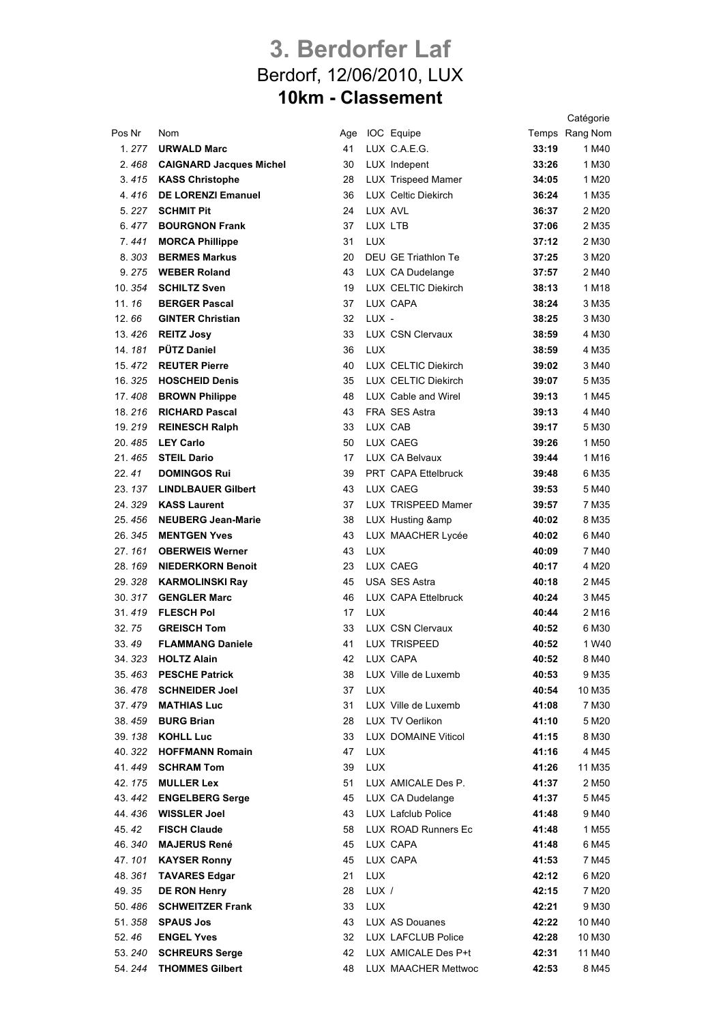## **3. Berdorfer Laf** Berdorf, 12/06/2010, LUX **10km - Classement**

Catégorie

| Pos Nr  | Nom                           | Age |            | IOC Equipe                 |       | Temps Rang Nom    |
|---------|-------------------------------|-----|------------|----------------------------|-------|-------------------|
| 1.277   | <b>URWALD Marc</b>            | 41  |            | LUX C.A.E.G.               | 33:19 | 1 M40             |
|         | 2.468 CAIGNARD Jacques Michel | 30  |            | LUX Indepent               | 33:26 | 1 M30             |
|         | 3.415 KASS Christophe         | 28  |            | LUX Trispeed Mamer         | 34:05 | 1 M <sub>20</sub> |
| 4.416   | <b>DE LORENZI Emanuel</b>     | 36  |            | <b>LUX Celtic Diekirch</b> | 36:24 | 1 M35             |
|         | 5. 227 <b>SCHMIT Pit</b>      | 24  |            | LUX AVL                    | 36:37 | 2 M <sub>20</sub> |
|         | 6.477 BOURGNON Frank          | 37  | LUX LTB    |                            | 37:06 | 2 M35             |
| 7.441   | <b>MORCA Phillippe</b>        | 31  | <b>LUX</b> |                            | 37:12 | 2 M30             |
| 8.303   | <b>BERMES Markus</b>          | 20  |            | DEU GE Triathlon Te        | 37:25 | 3 M20             |
|         | 9.275 WEBER Roland            | 43  |            | LUX CA Dudelange           | 37:57 | 2 M40             |
| 10.354  | <b>SCHILTZ Sven</b>           | 19  |            | LUX CELTIC Diekirch        | 38:13 | 1 M18             |
| 11.16   | <b>BERGER Pascal</b>          | 37  |            | LUX CAPA                   | 38:24 | 3 M35             |
| 12.66   | <b>GINTER Christian</b>       | 32  | LUX -      |                            | 38:25 | 3 M <sub>30</sub> |
|         | 13.426 REITZ Josy             | 33  |            | LUX CSN Clervaux           | 38:59 | 4 M30             |
|         | 14. 181 PÜTZ Daniel           | 36  | <b>LUX</b> |                            | 38:59 | 4 M35             |
| 15, 472 | <b>REUTER Pierre</b>          | 40  |            | LUX CELTIC Diekirch        | 39:02 | 3 M40             |
| 16.325  | <b>HOSCHEID Denis</b>         | 35  |            | <b>LUX CELTIC Diekirch</b> | 39:07 | 5 M35             |
| 17.408  | <b>BROWN Philippe</b>         | 48  |            | LUX Cable and Wirel        | 39:13 | 1 M45             |
|         | 18. 216 RICHARD Pascal        | 43  |            | FRA SES Astra              | 39:13 | 4 M40             |
|         | 19. 219 REINESCH Ralph        | 33  |            | LUX CAB                    | 39:17 | 5 M30             |
|         | 20.485 LEY Carlo              | 50  |            | LUX CAEG                   | 39:26 | 1 M <sub>50</sub> |
|         | 21.465 STEIL Dario            | 17  |            | LUX CA Belvaux             | 39:44 | 1 M16             |
| 22.41   | <b>DOMINGOS Rui</b>           | 39  |            | PRT CAPA Ettelbruck        | 39:48 | 6 M35             |
|         | 23. 137 LINDLBAUER Gilbert    | 43  |            | LUX CAEG                   | 39:53 | 5 M40             |
|         | 24. 329 KASS Laurent          | 37  |            | LUX TRISPEED Mamer         | 39:57 | 7 M35             |
| 25.456  | <b>NEUBERG Jean-Marie</b>     | 38  |            | LUX Husting &              | 40:02 | 8 M35             |
| 26.345  | <b>MENTGEN Yves</b>           | 43  |            | LUX MAACHER Lycée          | 40:02 | 6 M40             |
| 27.161  | <b>OBERWEIS Werner</b>        | 43  | <b>LUX</b> |                            | 40:09 | 7 M40             |
|         | 28. 169 NIEDERKORN Benoit     | 23  |            | LUX CAEG                   | 40:17 | 4 M20             |
| 29.328  | <b>KARMOLINSKI Ray</b>        | 45  |            | <b>USA SES Astra</b>       | 40:18 | 2 M45             |
|         | 30. 317 GENGLER Marc          | 46  |            | LUX CAPA Ettelbruck        | 40:24 | 3 M45             |
| 31.419  | <b>FLESCH Pol</b>             | 17  | <b>LUX</b> |                            | 40:44 | 2 M16             |
| 32.75   | <b>GREISCH Tom</b>            | 33  |            | LUX CSN Clervaux           | 40:52 | 6 M30             |
| 33.49   | <b>FLAMMANG Daniele</b>       | 41  |            | LUX TRISPEED               | 40:52 | 1 W <sub>40</sub> |
| 34.323  | <b>HOLTZ Alain</b>            | 42  |            | LUX CAPA                   | 40:52 | 8 M40             |
| 35.463  | <b>PESCHE Patrick</b>         | 38  |            | LUX Ville de Luxemb        | 40:53 | 9 M35             |
| 36.478  | <b>SCHNEIDER Joel</b>         | 37  | <b>LUX</b> |                            | 40:54 | 10 M35            |
| 37.479  | <b>MATHIAS Luc</b>            | 31  |            | LUX Ville de Luxemb        | 41:08 | 7 M30             |
| 38.459  | <b>BURG Brian</b>             | 28  |            | LUX TV Oerlikon            | 41:10 | 5 M20             |
|         | 39. 138 KOHLL Luc             | 33  |            | <b>LUX DOMAINE Viticol</b> | 41:15 | 8 M30             |
| 40.322  | <b>HOFFMANN Romain</b>        | 47  | LUX        |                            | 41:16 | 4 M45             |
| 41.449  | <b>SCHRAM Tom</b>             | 39  | <b>LUX</b> |                            | 41:26 | 11 M35            |
| 42.175  | <b>MULLER Lex</b>             | 51  |            | LUX AMICALE Des P.         | 41:37 | 2 M <sub>50</sub> |
| 43.442  | <b>ENGELBERG Serge</b>        | 45  |            | LUX CA Dudelange           | 41:37 | 5 M45             |
| 44.436  | <b>WISSLER Joel</b>           | 43  |            | LUX Lafclub Police         | 41:48 | 9 M40             |
| 45.42   | <b>FISCH Claude</b>           | 58  |            | LUX ROAD Runners Ec        | 41:48 | 1 M55             |
| 46.340  | <b>MAJERUS René</b>           | 45  |            | LUX CAPA                   | 41:48 | 6 M45             |
| 47.101  | <b>KAYSER Ronny</b>           | 45  |            | LUX CAPA                   | 41:53 | 7 M45             |
| 48.361  | <b>TAVARES Edgar</b>          | 21  | <b>LUX</b> |                            | 42:12 | 6 M20             |
| 49.35   | <b>DE RON Henry</b>           | 28  | LUX /      |                            | 42:15 | 7 M20             |
| 50.486  | <b>SCHWEITZER Frank</b>       | 33  | LUX        |                            | 42:21 | 9 M30             |
| 51.358  | <b>SPAUS Jos</b>              | 43  |            | LUX AS Douanes             | 42:22 | 10 M40            |
| 52.46   | <b>ENGEL Yves</b>             | 32  |            | LUX LAFCLUB Police         | 42:28 | 10 M30            |
| 53.240  | <b>SCHREURS Serge</b>         | 42  |            | LUX AMICALE Des P+t        | 42:31 | 11 M40            |
| 54.244  | <b>THOMMES Gilbert</b>        | 48  |            | LUX MAACHER Mettwoc        | 42:53 | 8 M45             |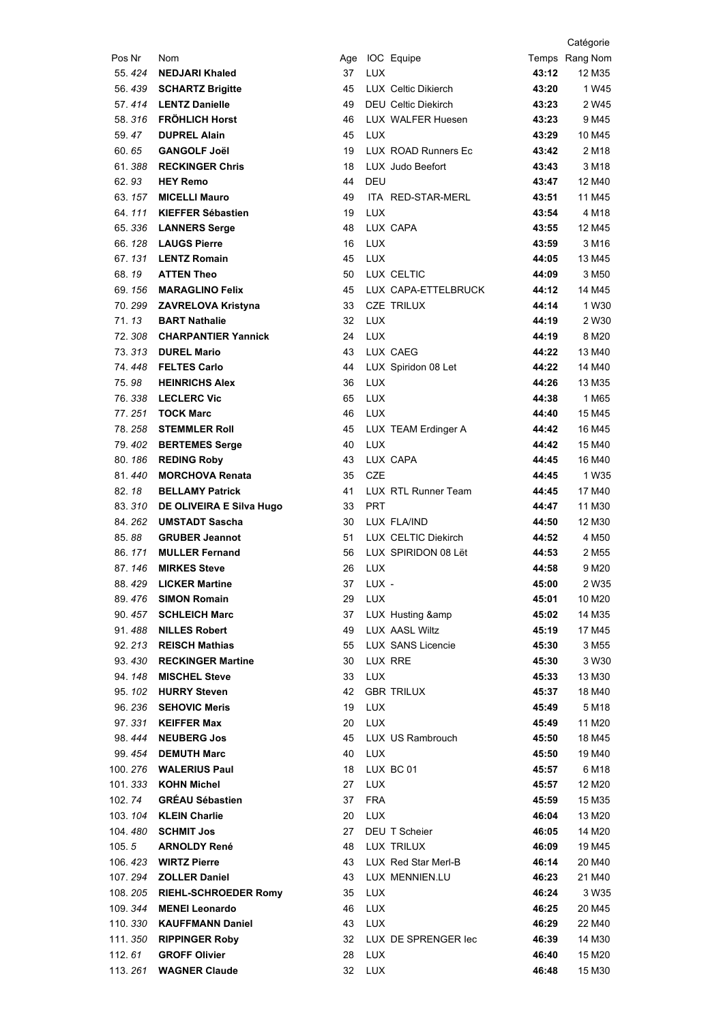|         |                                                    |          |            |                              |                | Catégorie                  |
|---------|----------------------------------------------------|----------|------------|------------------------------|----------------|----------------------------|
| Pos Nr  | Nom                                                |          |            | Age IOC Equipe               |                | Temps Rang Nom             |
| 55.424  | <b>NEDJARI Khaled</b>                              | 37       | <b>LUX</b> |                              | 43:12          | 12 M35                     |
| 56.439  | <b>SCHARTZ Brigitte</b>                            | 45       |            | LUX Celtic Dikierch          | 43:20          | 1 W <sub>45</sub>          |
|         | 57.414 LENTZ Danielle                              | 49       |            | <b>DEU Celtic Diekirch</b>   | 43:23          | 2 W <sub>45</sub>          |
| 58.316  | <b>FRÖHLICH Horst</b>                              | 46       |            | LUX WALFER Huesen            | 43:23          | 9 M45                      |
| 59.47   | <b>DUPREL Alain</b>                                | 45       | <b>LUX</b> |                              | 43:29          | 10 M45                     |
| 60.65   | <b>GANGOLF Joël</b>                                | 19       |            | LUX ROAD Runners Ec          | 43:42          | 2 M <sub>18</sub>          |
|         | 61.388 RECKINGER Chris                             | 18       |            | LUX Judo Beefort             | 43:43          | 3 M18                      |
| 62.93   | <b>HEY Remo</b>                                    | 44       | DEU        |                              | 43:47          | 12 M40                     |
|         | 63. 157 <b>MICELLI Mauro</b>                       | 49       |            | ITA RED-STAR-MERL            | 43:51          | 11 M45                     |
| 64.111  | KIEFFER Sébastien                                  | 19       | <b>LUX</b> |                              | 43:54          | 4 M18                      |
|         | 65. 336 LANNERS Serge                              | 48       |            | LUX CAPA                     | 43:55          | 12 M45                     |
| 66.128  | <b>LAUGS Pierre</b>                                | 16       | LUX        |                              | 43:59          | 3 M16                      |
| 67.131  | <b>LENTZ Romain</b>                                | 45       | LUX        |                              | 44:05          | 13 M45                     |
| 68.19   | <b>ATTEN Theo</b>                                  | 50       |            | LUX CELTIC                   | 44:09          | 3 M <sub>50</sub>          |
| 69.156  | <b>MARAGLINO Felix</b>                             | 45       |            | LUX CAPA-ETTELBRUCK          | 44:12          | 14 M45                     |
|         | 70. 299 ZAVRELOVA Kristyna                         | 33       |            | <b>CZE TRILUX</b>            | 44:14          | 1 W30                      |
| 71.13   | <b>BART Nathalie</b>                               | 32       | <b>LUX</b> |                              | 44:19          | 2 W30                      |
| 72.308  | <b>CHARPANTIER Yannick</b>                         | 24       | <b>LUX</b> |                              | 44:19          | 8 M20                      |
| 73.313  | <b>DUREL Mario</b>                                 | 43       |            | LUX CAEG                     | 44:22          | 13 M40                     |
| 74.448  | <b>FELTES Carlo</b>                                | 44       |            | LUX Spiridon 08 Let          | 44:22          | 14 M40                     |
| 75.98   | <b>HEINRICHS Alex</b>                              | 36       | LUX        |                              | 44:26          | 13 M35                     |
| 76.338  | <b>LECLERC Vic</b>                                 | 65       | <b>LUX</b> |                              | 44:38          | 1 M65                      |
| 77.251  | <b>TOCK Marc</b>                                   | 46       | LUX        |                              | 44:40          | 15 M45                     |
| 78.258  | <b>STEMMLER Roll</b>                               | 45       |            | LUX TEAM Erdinger A          | 44:42          | 16 M45                     |
|         | 79. 402 BERTEMES Serge                             | 40       | LUX        |                              | 44:42          | 15 M40                     |
| 80.186  | <b>REDING Roby</b>                                 | 43       |            | LUX CAPA                     | 44:45          | 16 M40                     |
| 81.440  | <b>MORCHOVA Renata</b>                             | 35       | <b>CZE</b> |                              | 44:45          | 1 W <sub>35</sub>          |
| 82.18   | <b>BELLAMY Patrick</b>                             | 41       |            | LUX RTL Runner Team          | 44:45          | 17 M40                     |
| 83.310  | DE OLIVEIRA E Silva Hugo                           | 33       | <b>PRT</b> |                              | 44:47          | 11 M30                     |
| 84.262  | <b>UMSTADT Sascha</b>                              | 30       |            | LUX FLA/IND                  | 44:50          | 12 M30                     |
| 85.88   | <b>GRUBER Jeannot</b>                              | 51       |            | LUX CELTIC Diekirch          | 44:52          | 4 M <sub>50</sub>          |
| 86.171  | <b>MULLER Fernand</b>                              | 56       |            | LUX SPIRIDON 08 Lët          | 44:53          | 2 M <sub>55</sub>          |
| 87.146  | <b>MIRKES Steve</b>                                | 26       | <b>LUX</b> |                              | 44:58          | 9 M <sub>20</sub>          |
|         | 88.429 LICKER Martine                              | 37       | LUX -      |                              | 45:00          | 2 W35                      |
|         | 89.476 SIMON Romain                                | 29       | <b>LUX</b> |                              | 45:01          | 10 M20                     |
|         | 90. 457 SCHLEICH Marc                              | 37       |            | LUX Husting &                | 45:02          | 14 M35                     |
|         | 91.488 NILLES Robert                               | 49       |            | LUX AASL Wiltz               | 45:19          | 17 M45                     |
|         | 92. 213 REISCH Mathias<br>93.430 RECKINGER Martine | 55       |            | LUX SANS Licencie<br>LUX RRE | 45:30<br>45:30 | 3 M <sub>55</sub><br>3 W30 |
|         | 94. 148 MISCHEL Steve                              | 30<br>33 | LUX        |                              | 45:33          | 13 M30                     |
|         | 95. 102 HURRY Steven                               | 42       |            | <b>GBR TRILUX</b>            | 45:37          | 18 M40                     |
|         | 96. 236 SEHOVIC Meris                              | 19       | LUX        |                              | 45:49          | 5 M18                      |
|         | 97.331 <b>KEIFFER Max</b>                          | 20       | <b>LUX</b> |                              | 45:49          | 11 M20                     |
|         | 98.444 NEUBERG Jos                                 | 45       |            | LUX US Rambrouch             | 45:50          | 18 M45                     |
|         | 99. 454 DEMUTH Marc                                | 40       | LUX        |                              | 45:50          | 19 M40                     |
|         | 100. 276 WALERIUS Paul                             | 18       |            | LUX BC 01                    | 45:57          | 6 M18                      |
|         | 101.333 KOHN Michel                                | 27       | <b>LUX</b> |                              | 45:57          | 12 M20                     |
| 102.74  | <b>GRÉAU Sébastien</b>                             | 37       | <b>FRA</b> |                              | 45:59          | 15 M35                     |
|         | 103. 104 KLEIN Charlie                             | 20       | <b>LUX</b> |                              | 46:04          | 13 M20                     |
|         | 104.480 SCHMIT Jos                                 | 27       |            | DEU T Scheier                | 46:05          | 14 M20                     |
| 105.5   | <b>ARNOLDY René</b>                                | 48       |            | LUX TRILUX                   | 46:09          | 19 M45                     |
|         | 106. 423 WIRTZ Pierre                              | 43       |            | LUX Red Star Merl-B          | 46:14          | 20 M40                     |
|         | 107. 294 <b>ZOLLER Daniel</b>                      | 43       |            | LUX MENNIEN.LU               | 46:23          | 21 M40                     |
|         | 108. 205 RIEHL-SCHROEDER Romy                      | 35       | LUX        |                              | 46:24          | 3 W35                      |
| 109.344 | <b>MENEI Leonardo</b>                              | 46       | LUX        |                              | 46:25          | 20 M45                     |
|         | 110. 330 KAUFFMANN Daniel                          | 43       | <b>LUX</b> |                              | 46:29          | 22 M40                     |
|         | 111. 350 RIPPINGER Roby                            | 32       |            | LUX DE SPRENGER lec          | 46:39          | 14 M30                     |
| 112.61  | <b>GROFF Olivier</b>                               | 28       | <b>LUX</b> |                              | 46:40          | 15 M20                     |
|         | 113. 261 WAGNER Claude                             | 32       | LUX        |                              | 46:48          | 15 M30                     |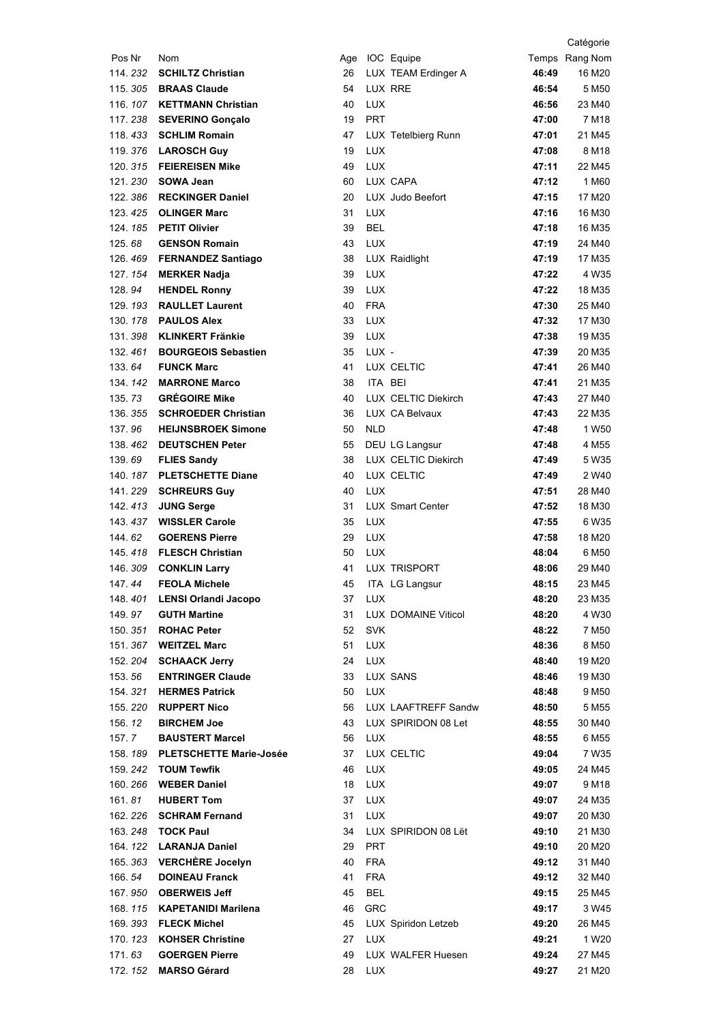|                    |                                                       |          |                          |                         |                | Catégorie                   |
|--------------------|-------------------------------------------------------|----------|--------------------------|-------------------------|----------------|-----------------------------|
| Pos Nr             | Nom                                                   |          |                          | Age IOC Equipe          |                | Temps Rang Nom              |
| 114.232            | <b>SCHILTZ Christian</b>                              | 26       |                          | LUX TEAM Erdinger A     | 46:49          | 16 M20                      |
| 115.305            | <b>BRAAS Claude</b>                                   | 54       |                          | LUX RRE                 | 46:54          | 5 M <sub>50</sub>           |
|                    | 116. 107 KETTMANN Christian                           | 40       | <b>LUX</b>               |                         | 46:56          | 23 M40                      |
| 117.238            | <b>SEVERINO Gonçalo</b>                               | 19       | <b>PRT</b>               |                         | 47:00          | 7 M18                       |
|                    | 118, 433 SCHLIM Romain                                | 47       |                          | LUX Tetelbierg Runn     | 47:01          | 21 M45                      |
|                    | 119.376 LAROSCH Guy                                   | 19       | <b>LUX</b>               |                         | 47:08          | 8 M18                       |
|                    | 120. 315 FEIEREISEN Mike                              | 49       | <b>LUX</b>               |                         | 47:11          | 22 M45                      |
|                    | 121.230 SOWA Jean                                     | 60       |                          | LUX CAPA                | 47:12          | 1 M60                       |
| 122.386            | <b>RECKINGER Daniel</b>                               | 20       |                          | LUX Judo Beefort        | 47:15          | 17 M20                      |
|                    | 123. 425 OLINGER Marc                                 | 31       | <b>LUX</b>               |                         | 47:16          | 16 M30                      |
| 124.185            | <b>PETIT Olivier</b>                                  | 39       | <b>BEL</b>               |                         | 47:18          | 16 M35                      |
| 125.68             | <b>GENSON Romain</b>                                  | 43       | <b>LUX</b>               |                         | 47:19          | 24 M40                      |
|                    | 126.469 FERNANDEZ Santiago                            | 38       |                          | LUX Raidlight           | 47:19          | 17 M35                      |
|                    | 127. 154 MERKER Nadja                                 | 39       | <b>LUX</b>               |                         | 47:22          | 4 W35                       |
| 128.94             | <b>HENDEL Ronny</b>                                   | 39       | <b>LUX</b>               |                         | 47:22          | 18 M35                      |
|                    | 129. 193 RAULLET Laurent                              | 40       | <b>FRA</b>               |                         | 47:30<br>47:32 | 25 M40                      |
| 130.178            | <b>PAULOS Alex</b>                                    | 33       | <b>LUX</b><br><b>LUX</b> |                         |                | 17 M30                      |
| 131.398<br>132.461 | <b>KLINKERT Fränkie</b><br><b>BOURGEOIS Sebastien</b> | 39<br>35 | LUX -                    |                         | 47:38<br>47:39 | 19 M35<br>20 M35            |
| 133.64             | <b>FUNCK Marc</b>                                     | 41       |                          | LUX CELTIC              | 47:41          | 26 M40                      |
| 134.142            | <b>MARRONE Marco</b>                                  | 38       | ITA BEI                  |                         | 47:41          | 21 M35                      |
| 135.73             | <b>GRÉGOIRE Mike</b>                                  | 40       |                          | LUX CELTIC Diekirch     | 47:43          | 27 M40                      |
|                    | 136. 355 SCHROEDER Christian                          | 36       |                          | LUX CA Belvaux          | 47:43          | 22 M35                      |
| 137.96             | <b>HEIJNSBROEK Simone</b>                             | 50       | <b>NLD</b>               |                         | 47:48          | 1 W <sub>50</sub>           |
|                    | 138.462 DEUTSCHEN Peter                               | 55       |                          | DEU LG Langsur          | 47:48          | 4 M <sub>55</sub>           |
| 139.69             | <b>FLIES Sandy</b>                                    | 38       |                          | LUX CELTIC Diekirch     | 47:49          | 5 W35                       |
|                    | 140. 187 PLETSCHETTE Diane                            | 40       |                          | LUX CELTIC              | 47:49          | 2 W <sub>40</sub>           |
| 141.229            | <b>SCHREURS Guy</b>                                   | 40       | <b>LUX</b>               |                         | 47:51          | 28 M40                      |
| 142, 413           | <b>JUNG Serge</b>                                     | 31       |                          | <b>LUX</b> Smart Center | 47:52          | 18 M30                      |
|                    | 143.437 WISSLER Carole                                | 35       | <b>LUX</b>               |                         | 47:55          | 6 W35                       |
| 144.62             | <b>GOERENS Pierre</b>                                 | 29       | <b>LUX</b>               |                         | 47:58          | 18 M20                      |
|                    | 145.418 FLESCH Christian                              | 50       | <b>LUX</b>               |                         | 48:04          | 6 M50                       |
| 146.309            | <b>CONKLIN Larry</b>                                  | 41       |                          | LUX TRISPORT            | 48:06          | 29 M40                      |
|                    | 147.44 FEOLA Michele                                  | 45       |                          | ITA LG Langsur          | 48:15          | 23 M45                      |
|                    | 148. 401 LENSI Orlandi Jacopo                         | 37       | <b>LUX</b>               |                         | 48:20          | 23 M35                      |
| 149.97             | <b>GUTH Martine</b>                                   | 31       |                          | LUX DOMAINE Viticol     | 48:20          | 4 W30                       |
| 150.351            | <b>ROHAC Peter</b>                                    | 52       | <b>SVK</b>               |                         | 48:22          | 7 M <sub>50</sub>           |
|                    | 151.367 WEITZEL Marc                                  | 51       | LUX                      |                         | 48:36          | 8 M <sub>50</sub>           |
|                    | 152. 204 SCHAACK Jerry                                | 24       | LUX                      |                         | 48:40          | 19 M20                      |
| 153.56             | <b>ENTRINGER Claude</b>                               | 33       |                          | LUX SANS                | 48:46          | 19 M30                      |
|                    | 154. 321 HERMES Patrick                               | 50       | <b>LUX</b>               |                         | 48:48          | 9 M <sub>50</sub>           |
|                    | 155. 220 RUPPERT Nico<br><b>BIRCHEM Joe</b>           | 56       |                          | LUX LAAFTREFF Sandw     | 48:50          | 5 M <sub>55</sub>           |
| 156.12<br>157.7    | <b>BAUSTERT Marcel</b>                                | 43<br>56 | <b>LUX</b>               | LUX SPIRIDON 08 Let     | 48:55<br>48:55 | 30 M40<br>6 M <sub>55</sub> |
|                    | 158. 189 PLETSCHETTE Marie-Josée                      | 37       |                          | LUX CELTIC              | 49:04          | 7 W35                       |
|                    | 159. 242 TOUM Tewfik                                  | 46       | <b>LUX</b>               |                         | 49:05          | 24 M45                      |
|                    | 160. 266 WEBER Daniel                                 | 18       | LUX                      |                         | 49:07          | 9 M18                       |
| 161.81             | <b>HUBERT Tom</b>                                     | 37       | <b>LUX</b>               |                         | 49:07          | 24 M35                      |
|                    | 162. 226 SCHRAM Fernand                               | 31       | <b>LUX</b>               |                         | 49:07          | 20 M30                      |
|                    | 163. 248 TOCK Paul                                    | 34       |                          | LUX SPIRIDON 08 Lët     | 49:10          | 21 M30                      |
|                    | 164. 122 LARANJA Daniel                               | 29       | <b>PRT</b>               |                         | 49:10          | 20 M20                      |
|                    | 165. 363 VERCHÈRE Jocelyn                             | 40       | <b>FRA</b>               |                         | 49:12          | 31 M40                      |
| 166.54             | <b>DOINEAU Franck</b>                                 | 41       | <b>FRA</b>               |                         | 49:12          | 32 M40                      |
|                    | 167.950 OBERWEIS Jeff                                 | 45       | <b>BEL</b>               |                         | 49:15          | 25 M45                      |
|                    | 168. 115 KAPETANIDI Marilena                          | 46       | <b>GRC</b>               |                         | 49:17          | 3 W45                       |
|                    | 169. 393 FLECK Michel                                 | 45       |                          | LUX Spiridon Letzeb     | 49:20          | 26 M45                      |
|                    | 170. 123 KOHSER Christine                             | 27       | <b>LUX</b>               |                         | 49:21          | 1 W <sub>20</sub>           |
| 171.63             | <b>GOERGEN Pierre</b>                                 | 49       |                          | LUX WALFER Huesen       | 49:24          | 27 M45                      |
|                    | 172. 152 MARSO Gérard                                 | 28       | LUX                      |                         | 49:27          | 21 M20                      |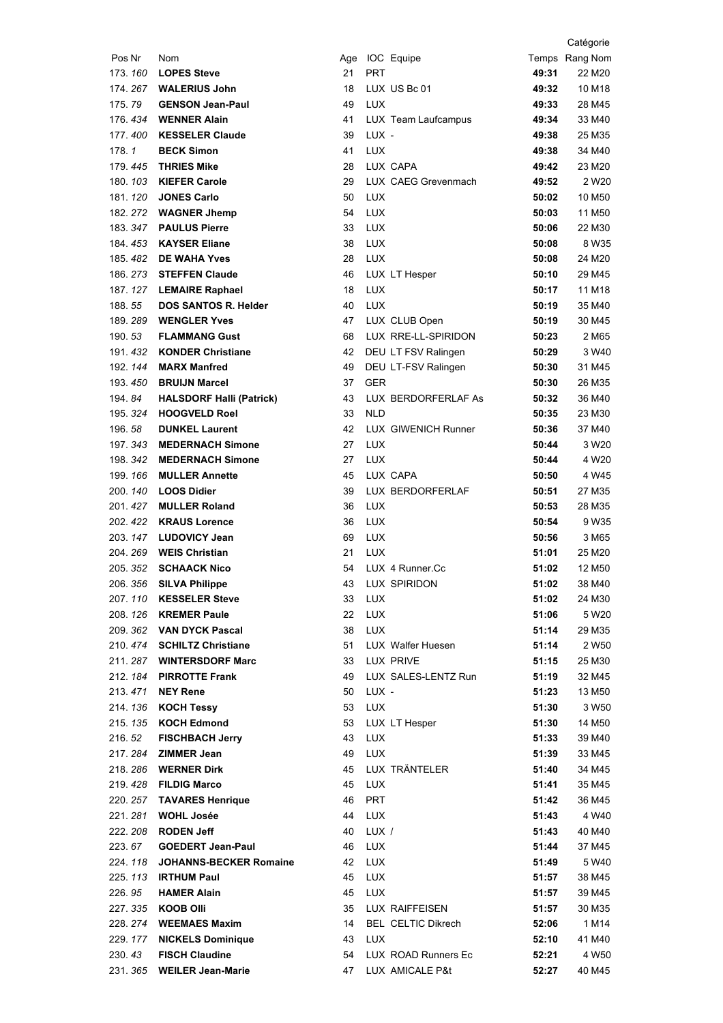|                   |                                                 |          |            |                                            |                | Catégorie          |
|-------------------|-------------------------------------------------|----------|------------|--------------------------------------------|----------------|--------------------|
| Pos Nr            | Nom                                             |          |            | Age IOC Equipe                             |                | Temps Rang Nom     |
| 173.160           | <b>LOPES Steve</b>                              | 21       | <b>PRT</b> |                                            | 49:31          | 22 M20             |
| 174.267           | <b>WALERIUS John</b>                            | 18       |            | LUX US Bc 01                               | 49:32          | 10 M18             |
| 175.79            | <b>GENSON Jean-Paul</b>                         | 49       | <b>LUX</b> |                                            | 49:33          | 28 M45             |
| 176.434           | <b>WENNER Alain</b>                             | 41       |            | LUX Team Laufcampus                        | 49:34          | 33 M40             |
| 177, 400          | <b>KESSELER Claude</b>                          | 39       | LUX -      |                                            | 49:38          | 25 M35             |
| 178.1             | <b>BECK Simon</b>                               | 41       | <b>LUX</b> |                                            | 49:38          | 34 M40             |
|                   | 179.445 THRIES Mike                             | 28       |            | LUX CAPA                                   | 49:42          | 23 M20             |
|                   | 180. 103 KIEFER Carole                          | 29       |            | LUX CAEG Grevenmach                        | 49:52          | 2 W <sub>20</sub>  |
| 181.120           | <b>JONES Carlo</b>                              | 50       | <b>LUX</b> |                                            | 50:02          | 10 M <sub>50</sub> |
|                   | 182. 272 WAGNER Jhemp                           | 54       | LUX        |                                            | 50:03          | 11 M <sub>50</sub> |
| 183.347           | <b>PAULUS Pierre</b>                            | 33       | LUX        |                                            | 50:06          | 22 M30             |
| 184. <i>453</i>   | <b>KAYSER Eliane</b>                            | 38       | <b>LUX</b> |                                            | 50:08          | 8 W35              |
|                   | 185.482 DE WAHA Yves                            | 28       | <b>LUX</b> |                                            | 50:08          | 24 M20             |
|                   | 186. 273 STEFFEN Claude                         | 46       |            | LUX LT Hesper                              | 50:10          | 29 M45             |
|                   | 187. 127 LEMAIRE Raphael                        | 18       | <b>LUX</b> |                                            | 50:17          | 11 M18             |
| 188.55            | <b>DOS SANTOS R. Helder</b>                     | 40       | <b>LUX</b> |                                            | 50:19          | 35 M40             |
| 189, 289          | <b>WENGLER Yves</b>                             | 47<br>68 |            | LUX CLUB Open<br>LUX RRE-LL-SPIRIDON       | 50:19          | 30 M45             |
| 190.53<br>191.432 | <b>FLAMMANG Gust</b>                            |          |            |                                            | 50:23          | 2 M65              |
| 192.144           | <b>KONDER Christiane</b><br><b>MARX Manfred</b> | 42<br>49 |            | DEU LT FSV Ralingen<br>DEU LT-FSV Ralingen | 50:29          | 3 W40<br>31 M45    |
| 193.450           | <b>BRUIJN Marcel</b>                            | 37       | <b>GER</b> |                                            | 50:30<br>50:30 | 26 M35             |
| 194.84            | <b>HALSDORF Halli (Patrick)</b>                 | 43       |            | LUX BERDORFERLAF As                        | 50:32          | 36 M40             |
|                   | 195. 324 HOOGVELD Roel                          | 33       | <b>NLD</b> |                                            | 50:35          | 23 M30             |
| 196.58            | <b>DUNKEL Laurent</b>                           | 42       |            | LUX GIWENICH Runner                        | 50:36          | 37 M40             |
|                   | 197. 343 MEDERNACH Simone                       | 27       | LUX        |                                            | 50:44          | 3 W <sub>20</sub>  |
| 198.342           | <b>MEDERNACH Simone</b>                         | 27       | <b>LUX</b> |                                            | 50:44          | 4 W <sub>20</sub>  |
| 199.166           | <b>MULLER Annette</b>                           | 45       |            | LUX CAPA                                   | 50:50          | 4 W45              |
| 200.140           | <b>LOOS Didier</b>                              | 39       |            | LUX BERDORFERLAF                           | 50:51          | 27 M35             |
| 201.427           | <b>MULLER Roland</b>                            | 36       | <b>LUX</b> |                                            | 50:53          | 28 M35             |
|                   | 202. 422 KRAUS Lorence                          | 36       | <b>LUX</b> |                                            | 50:54          | 9 W35              |
|                   | 203. 147 LUDOVICY Jean                          | 69       | LUX        |                                            | 50:56          | 3 M65              |
|                   | 204.269 WEIS Christian                          | 21       | <b>LUX</b> |                                            | 51:01          | 25 M20             |
|                   | 205. 352 SCHAACK Nico                           | 54       |            | LUX 4 Runner.Cc                            | 51:02          | 12 M <sub>50</sub> |
|                   | 206. 356 SILVA Philippe                         | 43       |            | LUX SPIRIDON                               | 51:02          | 38 M40             |
|                   | 207. 110 KESSELER Steve                         | 33       | <b>LUX</b> |                                            | 51:02          | 24 M30             |
|                   | 208. 126 KREMER Paule                           | 22       | <b>LUX</b> |                                            | 51:06          | 5 W20              |
|                   | 209. 362 VAN DYCK Pascal                        | 38       | LUX        |                                            | 51:14          | 29 M35             |
|                   | 210. 474 SCHILTZ Christiane                     | 51       |            | LUX Walfer Huesen                          | 51:14          | 2 W <sub>50</sub>  |
|                   | 211. 287 WINTERSDORF Marc                       | 33       |            | LUX PRIVE                                  | 51:15          | 25 M30             |
|                   | 212. 184 PIRROTTE Frank                         | 49       |            | LUX SALES-LENTZ Run                        | 51:19          | 32 M45             |
|                   | 213.471 NEY Rene                                | 50       | LUX -      |                                            | 51:23          | 13 M50             |
|                   | 214. 136 KOCH Tessy<br>215. 135 KOCH Edmond     | 53       | <b>LUX</b> |                                            | 51:30          | 3 W <sub>50</sub>  |
| 216.52            | <b>FISCHBACH Jerry</b>                          | 53<br>43 | <b>LUX</b> | LUX LT Hesper                              | 51:30<br>51:33 | 14 M50<br>39 M40   |
|                   | 217. 284 ZIMMER Jean                            | 49       | <b>LUX</b> |                                            | 51:39          | 33 M45             |
|                   | 218. 286  WERNER Dirk                           | 45       |            | LUX TRÄNTELER                              | 51:40          | 34 M45             |
|                   | 219.428 FILDIG Marco                            | 45       | LUX        |                                            | 51:41          | 35 M45             |
|                   | 220. 257 TAVARES Henrique                       | 46       | PRT        |                                            | 51:42          | 36 M45             |
|                   | 221. 281 WOHL Josée                             | 44       | LUX        |                                            | 51:43          | 4 W40              |
|                   | 222. 208 RODEN Jeff                             | 40       | LUX /      |                                            | 51:43          | 40 M40             |
| 223.67            | <b>GOEDERT Jean-Paul</b>                        | 46       | <b>LUX</b> |                                            | 51:44          | 37 M45             |
| 224.118           | <b>JOHANNS-BECKER Romaine</b>                   | 42       | <b>LUX</b> |                                            | 51:49          | 5 W40              |
|                   | 225. 113 IRTHUM Paul                            | 45       | <b>LUX</b> |                                            | 51:57          | 38 M45             |
| 226.95            | <b>HAMER Alain</b>                              | 45       | <b>LUX</b> |                                            | 51:57          | 39 M45             |
|                   | 227.335 KOOB Olli                               | 35       |            | LUX RAIFFEISEN                             | 51:57          | 30 M35             |
|                   | 228. 274 WEEMAES Maxim                          | 14       |            | <b>BEL CELTIC Dikrech</b>                  | 52:06          | 1 M14              |
|                   | 229.177 NICKELS Dominique                       | 43       | <b>LUX</b> |                                            | 52:10          | 41 M40             |
| 230.43            | <b>FISCH Claudine</b>                           | 54       |            | LUX ROAD Runners Ec                        | 52:21          | 4 W <sub>50</sub>  |
|                   | 231. 365 WEILER Jean-Marie                      | 47       |            | LUX AMICALE P&t                            | 52:27          | 40 M45             |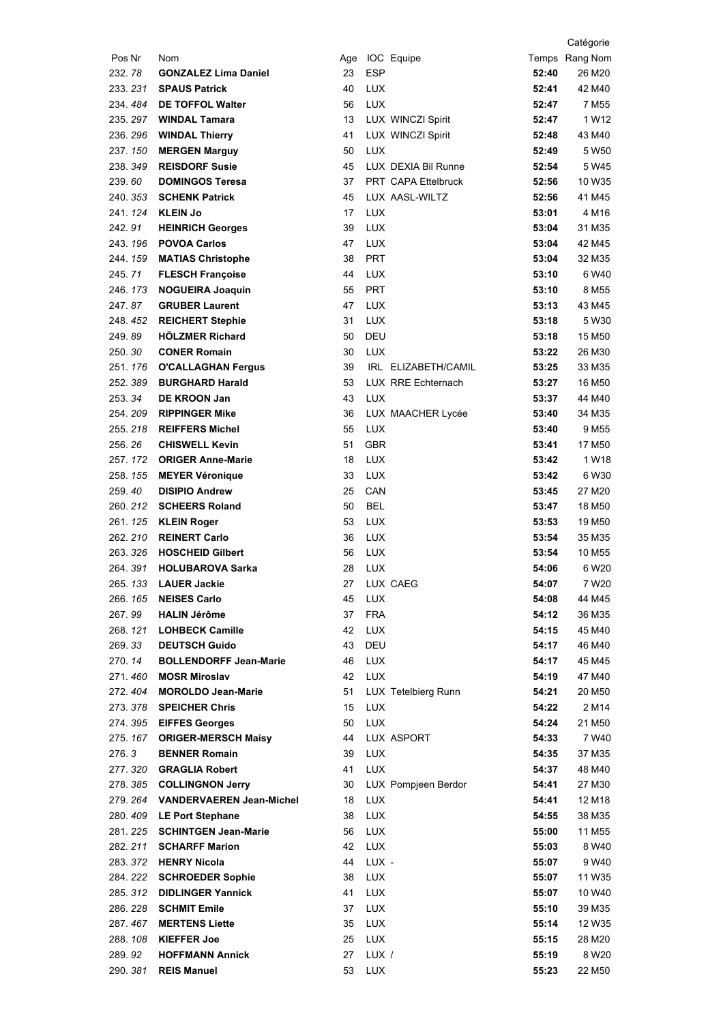|                     |                                                                |          |            |                     |                | Catégorie          |
|---------------------|----------------------------------------------------------------|----------|------------|---------------------|----------------|--------------------|
| Pos Nr              | Nom                                                            |          |            | Age IOC Equipe      |                | Temps Rang Nom     |
| 232.78              | <b>GONZALEZ Lima Daniel</b>                                    | 23       | <b>ESP</b> |                     | 52:40          | 26 M20             |
| 233, 231            | <b>SPAUS Patrick</b>                                           | 40       | <b>LUX</b> |                     | 52:41          | 42 M40             |
| 234, 484            | <b>DE TOFFOL Walter</b>                                        | 56       | <b>LUX</b> |                     | 52:47          | 7 M <sub>55</sub>  |
| 235.297             | <b>WINDAL Tamara</b>                                           | 13       |            | LUX WINCZI Spirit   | 52:47          | 1 W12              |
| 236.296             | <b>WINDAL Thierry</b>                                          | 41       |            | LUX WINCZI Spirit   | 52:48          | 43 M40             |
| 237.150             | <b>MERGEN Marguy</b>                                           | 50       | <b>LUX</b> |                     | 52:49          | 5 W <sub>50</sub>  |
| 238, 349            | <b>REISDORF Susie</b>                                          | 45       |            | LUX DEXIA Bil Runne | 52:54          | 5 W45              |
| 239.60              | <b>DOMINGOS Teresa</b>                                         | 37       |            | PRT CAPA Ettelbruck | 52:56          | 10 W35             |
|                     | 240. 353 SCHENK Patrick                                        | 45       |            | LUX AASL-WILTZ      | 52:56          | 41 M45             |
|                     | 241. 124 KLEIN Jo                                              | 17       | <b>LUX</b> |                     | 53:01          | 4 M16              |
| 242.91              | <b>HEINRICH Georges</b>                                        | 39       | LUX        |                     | 53:04          | 31 M35             |
| 243.196             | <b>POVOA Carlos</b>                                            | 47       | <b>LUX</b> |                     | 53:04          | 42 M45             |
| 244.159             | <b>MATIAS Christophe</b>                                       | 38       | <b>PRT</b> |                     | 53:04          | 32 M35             |
| 245.71              | <b>FLESCH Françoise</b>                                        | 44       | <b>LUX</b> |                     | 53:10          | 6 W40              |
| 246, 173            | <b>NOGUEIRA Joaquin</b>                                        | 55       | <b>PRT</b> |                     | 53:10          | 8 M <sub>55</sub>  |
| 247.87              | <b>GRUBER Laurent</b>                                          | 47       | <b>LUX</b> |                     | 53:13          | 43 M45             |
| 248.452             | <b>REICHERT Stephie</b><br><b>HÖLZMER Richard</b>              | 31       | <b>LUX</b> |                     | 53:18          | 5 W30              |
| 249.89              |                                                                | 50       | DEU        |                     | 53:18          | 15 M50             |
| 250.30              | <b>CONER Romain</b>                                            | 30       | <b>LUX</b> |                     | 53:22          | 26 M30             |
| 251.176<br>252, 389 | <b>O'CALLAGHAN Fergus</b><br><b>BURGHARD Harald</b>            | 39<br>53 |            | IRL ELIZABETH/CAMIL | 53:25<br>53:27 | 33 M35             |
| 253.34              | <b>DE KROON Jan</b>                                            | 43       | LUX        | LUX RRE Echternach  | 53:37          | 16 M50<br>44 M40   |
|                     | 254. 209 RIPPINGER Mike                                        | 36       |            | LUX MAACHER Lycée   | 53:40          | 34 M35             |
|                     | 255. 218 REIFFERS Michel                                       | 55       | <b>LUX</b> |                     | 53:40          | 9 M <sub>55</sub>  |
| 256.26              | <b>CHISWELL Kevin</b>                                          | 51       | <b>GBR</b> |                     | 53:41          | 17 M <sub>50</sub> |
|                     | 257.172 ORIGER Anne-Marie                                      | 18       | <b>LUX</b> |                     | 53:42          | 1 W18              |
| 258.155             | <b>MEYER Véronique</b>                                         | 33       | <b>LUX</b> |                     | 53:42          | 6 W30              |
| 259.40              | <b>DISIPIO Andrew</b>                                          | 25       | CAN        |                     | 53:45          | 27 M20             |
| 260.212             | <b>SCHEERS Roland</b>                                          | 50       | <b>BEL</b> |                     | 53:47          | 18 M50             |
|                     | 261. 125 KLEIN Roger                                           | 53       | <b>LUX</b> |                     | 53:53          | 19 M <sub>50</sub> |
|                     | 262. 210 REINERT Carlo                                         | 36       | <b>LUX</b> |                     | 53:54          | 35 M35             |
|                     | 263. 326 HOSCHEID Gilbert                                      | 56       | <b>LUX</b> |                     | 53:54          | 10 M <sub>55</sub> |
| 264.391             | <b>HOLUBAROVA Sarka</b>                                        | 28       | <b>LUX</b> |                     | 54:06          | 6 W <sub>20</sub>  |
|                     | 265. 133 LAUER Jackie                                          |          |            | 27 LUX CAEG         | 54:07          | 7 W20              |
| 266.165             | <b>NEISES Carlo</b>                                            | 45       | LUX        |                     | 54:08          | 44 M45             |
| 267.99              | <b>HALIN Jérôme</b>                                            | 37       | <b>FRA</b> |                     | 54:12          | 36 M35             |
| 268.121             | <b>LOHBECK Camille</b>                                         | 42       | <b>LUX</b> |                     | 54:15          | 45 M40             |
| 269.33              | <b>DEUTSCH Guido</b>                                           | 43       | DEU        |                     | 54:17          | 46 M40             |
| 270.14              | <b>BOLLENDORFF Jean-Marie</b>                                  | 46       | <b>LUX</b> |                     | 54:17          | 45 M45             |
|                     | 271.460 MOSR Miroslav                                          | 42       | <b>LUX</b> |                     | 54:19          | 47 M40             |
|                     | 272.404 MOROLDO Jean-Marie                                     | 51       |            | LUX Tetelbierg Runn | 54:21          | 20 M50             |
| 273.378             | <b>SPEICHER Chris</b>                                          | 15       | <b>LUX</b> |                     | 54:22          | 2 M14              |
|                     | 274.395 EIFFES Georges                                         | 50       | <b>LUX</b> |                     | 54:24          | 21 M50             |
| 275.167             | <b>ORIGER-MERSCH Maisy</b>                                     | 44       |            | LUX ASPORT          | 54:33          | 7 W <sub>40</sub>  |
| 276.3               | <b>BENNER Romain</b>                                           | 39       | LUX        |                     | 54:35          | 37 M35             |
| 277.320             | <b>GRAGLIA Robert</b>                                          | 41       | <b>LUX</b> |                     | 54:37          | 48 M40             |
|                     | 278. 385 COLLINGNON Jerry<br>279. 264 VANDERVAEREN Jean-Michel | 30<br>18 |            | LUX Pompjeen Berdor | 54:41          | 27 M30             |
|                     | 280. 409 LE Port Stephane                                      | 38       | LUX<br>LUX |                     | 54:41<br>54:55 | 12 M18<br>38 M35   |
|                     | 281. 225 SCHINTGEN Jean-Marie                                  | 56       | <b>LUX</b> |                     | 55:00          | 11 M <sub>55</sub> |
| 282.211             | <b>SCHARFF Marion</b>                                          | 42       | <b>LUX</b> |                     | 55:03          | 8 W40              |
|                     | 283. 372 HENRY Nicola                                          | 44       | LUX -      |                     | 55:07          | 9 W40              |
| 284.222             | <b>SCHROEDER Sophie</b>                                        | 38       | LUX        |                     | 55:07          | 11 W35             |
| 285.312             | <b>DIDLINGER Yannick</b>                                       | 41       | <b>LUX</b> |                     | 55:07          | 10 W40             |
| 286.228             | <b>SCHMIT Emile</b>                                            | 37       | LUX        |                     | 55:10          | 39 M35             |
|                     | 287.467 MERTENS Liette                                         | 35       | <b>LUX</b> |                     | 55:14          | 12 W35             |
|                     | 288. 108 KIEFFER Joe                                           | 25       | <b>LUX</b> |                     | 55:15          | 28 M20             |
| 289.92              | <b>HOFFMANN Annick</b>                                         | 27       | LUX /      |                     | 55:19          | 8 W <sub>20</sub>  |
| 290.381             | <b>REIS Manuel</b>                                             | 53       | LUX        |                     | 55:23          | 22 M50             |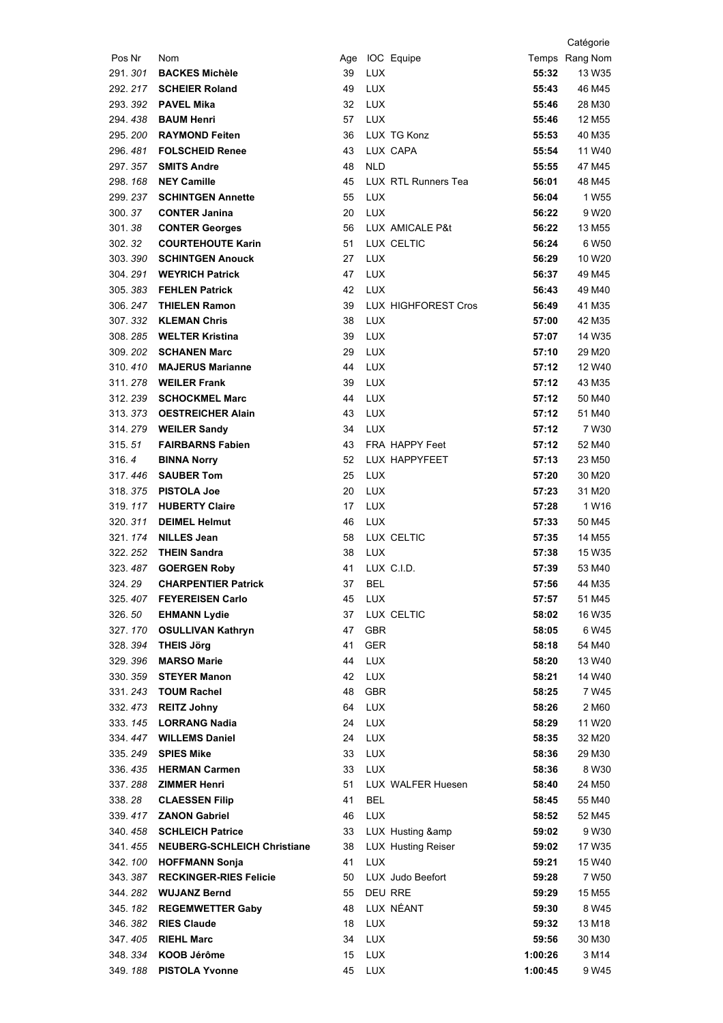|                  |                                                   |          |                   |                               |                | Catégorie                               |
|------------------|---------------------------------------------------|----------|-------------------|-------------------------------|----------------|-----------------------------------------|
| Pos Nr           | Nom                                               |          |                   | Age IOC Equipe                |                | Temps Rang Nom                          |
| 291.301          | <b>BACKES Michèle</b>                             | 39       | <b>LUX</b>        |                               | 55:32          | 13 W35                                  |
| 292, 217         | <b>SCHEIER Roland</b>                             | 49       | <b>LUX</b>        |                               | 55:43          | 46 M45                                  |
| 293.392          | <b>PAVEL Mika</b>                                 | 32       | <b>LUX</b>        |                               | 55:46          | 28 M30                                  |
| 294.438          | <b>BAUM Henri</b>                                 | 57       | <b>LUX</b>        |                               | 55:46          | 12 M <sub>55</sub>                      |
| 295, 200         | <b>RAYMOND Feiten</b>                             | 36       |                   | LUX TG Konz                   | 55:53          | 40 M35                                  |
| 296, 481         | <b>FOLSCHEID Renee</b>                            | 43       |                   | LUX CAPA                      | 55:54          | 11 W40                                  |
| 297.357          | <b>SMITS Andre</b>                                | 48       | <b>NLD</b>        |                               | 55:55          | 47 M45                                  |
| 298.168          | <b>NEY Camille</b>                                | 45       |                   | LUX RTL Runners Tea           | 56:01          | 48 M45                                  |
| 299.237          | <b>SCHINTGEN Annette</b>                          | 55       | LUX               |                               | 56:04          | 1 W <sub>55</sub>                       |
| 300.37<br>301.38 | <b>CONTER Janina</b>                              | 20       | <b>LUX</b>        |                               | 56:22          | 9 W <sub>20</sub>                       |
| 302.32           | <b>CONTER Georges</b><br><b>COURTEHOUTE Karin</b> | 56<br>51 |                   | LUX AMICALE P&t<br>LUX CELTIC | 56:22<br>56:24 | 13 M <sub>55</sub><br>6 W <sub>50</sub> |
|                  | 303. 390 SCHINTGEN Anouck                         | 27       | <b>LUX</b>        |                               | 56:29          | 10 W <sub>20</sub>                      |
|                  | 304. 291 WEYRICH Patrick                          | 47       | <b>LUX</b>        |                               | 56:37          | 49 M45                                  |
|                  | 305. 383 FEHLEN Patrick                           | 42       | <b>LUX</b>        |                               | 56:43          | 49 M40                                  |
|                  | 306. 247 THIELEN Ramon                            | 39       |                   | LUX HIGHFOREST Cros           | 56:49          | 41 M35                                  |
| 307.332          | <b>KLEMAN Chris</b>                               | 38       | <b>LUX</b>        |                               | 57:00          | 42 M35                                  |
| 308.285          | <b>WELTER Kristina</b>                            | 39       | <b>LUX</b>        |                               | 57:07          | 14 W35                                  |
| 309.202          | <b>SCHANEN Marc</b>                               | 29       | <b>LUX</b>        |                               | 57:10          | 29 M20                                  |
| 310.410          | <b>MAJERUS Marianne</b>                           | 44       | <b>LUX</b>        |                               | 57:12          | 12 W40                                  |
|                  | 311, 278 WEILER Frank                             | 39       | <b>LUX</b>        |                               | 57:12          | 43 M35                                  |
|                  | 312. 239 SCHOCKMEL Marc                           | 44       | <b>LUX</b>        |                               | 57:12          | 50 M40                                  |
|                  | 313. 373 OESTREICHER Alain                        | 43       | <b>LUX</b>        |                               | 57:12          | 51 M40                                  |
|                  | 314. 279 WEILER Sandy                             | 34       | <b>LUX</b>        |                               | 57:12          | 7 W30                                   |
| 315.51           | <b>FAIRBARNS Fabien</b>                           | 43       |                   | FRA HAPPY Feet                | 57:12          | 52 M40                                  |
| 316.4            | <b>BINNA Norry</b>                                | 52       |                   | LUX HAPPYFEET                 | 57:13          | 23 M50                                  |
|                  | 317.446 <b>SAUBER Tom</b>                         | 25       | <b>LUX</b>        |                               | 57:20          | 30 M20                                  |
| 318.375          | <b>PISTOLA Joe</b>                                | 20       | <b>LUX</b>        |                               | 57:23          | 31 M20                                  |
| 319.117          | <b>HUBERTY Claire</b>                             | 17       | <b>LUX</b>        |                               | 57:28          | 1 W16                                   |
| 320.311          | <b>DEIMEL Helmut</b>                              | 46       | <b>LUX</b>        |                               | 57:33          | 50 M45                                  |
|                  | 321. 174 NILLES Jean                              | 58       |                   | LUX CELTIC                    | 57:35          | 14 M <sub>55</sub>                      |
|                  | 322. 252 THEIN Sandra                             | 38       | <b>LUX</b>        |                               | 57:38          | 15 W35                                  |
|                  | 323.487 GOERGEN Roby                              | 41       |                   | LUX C.I.D.                    | 57:39          | 53 M40                                  |
| 324.29           | <b>CHARPENTIER Patrick</b>                        | 37       | <b>BEL</b>        |                               | 57:56          | 44 M35                                  |
| 325.407          | <b>FEYEREISEN Carlo</b>                           | 45       | <b>LUX</b>        |                               | 57:57          | 51 M45                                  |
| 326.50           | <b>EHMANN Lydie</b>                               | 37       |                   | LUX CELTIC                    | 58:02          | 16 W35                                  |
| 327.170          | <b>OSULLIVAN Kathryn</b>                          | 47       | <b>GBR</b>        |                               | 58:05          | 6 W45                                   |
| 328.394          | <b>THEIS Jörg</b>                                 | 41       | <b>GER</b>        |                               | 58:18          | 54 M40                                  |
| 329.396          | <b>MARSO Marie</b>                                | 44       | <b>LUX</b>        |                               | 58:20          | 13 W40                                  |
| 330.359          | <b>STEYER Manon</b>                               | 42       | <b>LUX</b>        |                               | 58:21          | 14 W40                                  |
|                  | 331. 243 TOUM Rachel                              | 48       | GBR               |                               | 58:25          | 7 W45                                   |
| 332.473          | <b>REITZ Johny</b>                                | 64       | LUX               |                               | 58:26          | 2 M60                                   |
| 333.145          | <b>LORRANG Nadia</b>                              | 24       | <b>LUX</b>        |                               | 58:29          | 11 W20                                  |
| 334.447          | <b>WILLEMS Daniel</b>                             | 24       | LUX               |                               | 58:35          | 32 M20                                  |
| 335.249          | <b>SPIES Mike</b><br>336.435 HERMAN Carmen        | 33<br>33 | LUX<br><b>LUX</b> |                               | 58:36<br>58:36 | 29 M30<br>8 W30                         |
|                  | 337. 288 <b>ZIMMER Henri</b>                      | 51       |                   | LUX WALFER Huesen             | 58:40          | 24 M50                                  |
| 338.28           | <b>CLAESSEN Filip</b>                             | 41       | <b>BEL</b>        |                               | 58:45          | 55 M40                                  |
|                  | 339.417 <b>ZANON Gabriel</b>                      | 46       | <b>LUX</b>        |                               | 58:52          | 52 M45                                  |
|                  | 340. 458 SCHLEICH Patrice                         | 33       |                   | LUX Husting &                 | 59:02          | 9 W30                                   |
| 341.455          | <b>NEUBERG-SCHLEICH Christiane</b>                | 38       |                   | <b>LUX Husting Reiser</b>     | 59:02          | 17 W35                                  |
| 342.100          | <b>HOFFMANN Sonja</b>                             | 41       | <b>LUX</b>        |                               | 59:21          | 15 W40                                  |
| 343.387          | <b>RECKINGER-RIES Felicie</b>                     | 50       |                   | LUX Judo Beefort              | 59:28          | 7 W <sub>50</sub>                       |
| 344.282          | <b>WUJANZ Bernd</b>                               | 55       |                   | <b>DEU RRE</b>                | 59:29          | 15 M55                                  |
| 345.182          | <b>REGEMWETTER Gaby</b>                           | 48       |                   | LUX NÉANT                     | 59:30          | 8 W45                                   |
| 346.382          | <b>RIES Claude</b>                                | 18       | <b>LUX</b>        |                               | 59:32          | 13 M18                                  |
| 347.405          | <b>RIEHL Marc</b>                                 | 34       | LUX               |                               | 59:56          | 30 M30                                  |
| 348.334          | KOOB Jérôme                                       | 15       | LUX               |                               | 1:00:26        | 3 M14                                   |
| 349.188          | <b>PISTOLA Yvonne</b>                             | 45       | LUX               |                               | 1:00:45        | 9 W45                                   |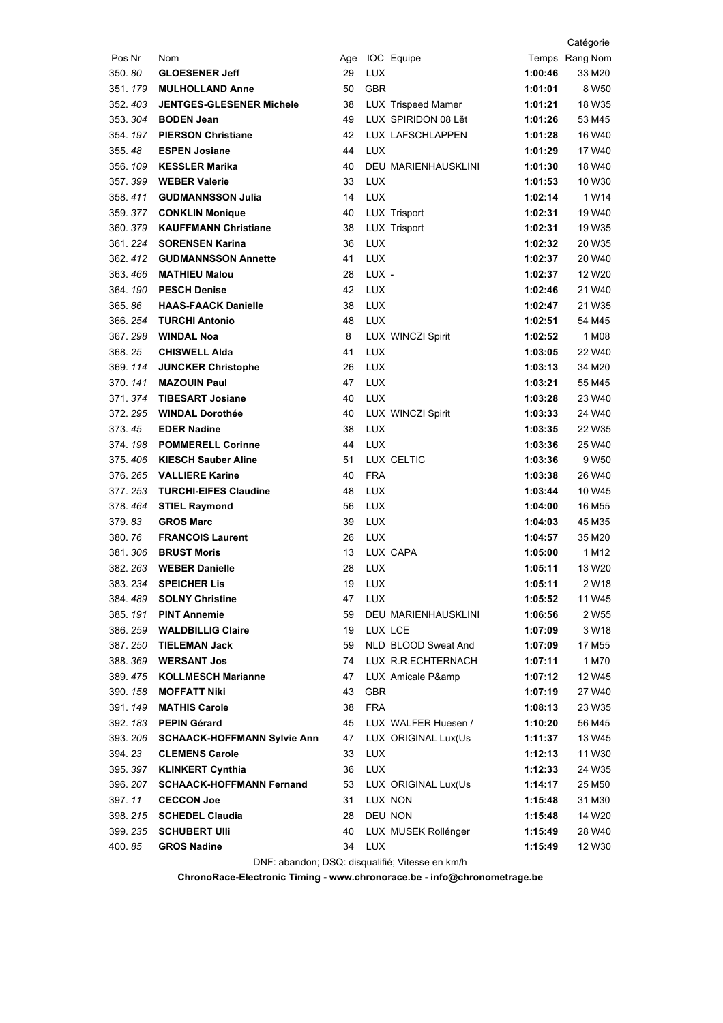|          |                                                  |          |            |                                           |                    | Catégorie                   |
|----------|--------------------------------------------------|----------|------------|-------------------------------------------|--------------------|-----------------------------|
| Pos Nr   | Nom                                              |          |            | Age IOC Equipe                            |                    | Temps Rang Nom              |
| 350.80   | <b>GLOESENER Jeff</b>                            | 29       | <b>LUX</b> |                                           | 1:00:46            | 33 M20                      |
| 351.179  | <b>MULHOLLAND Anne</b>                           | 50       | <b>GBR</b> |                                           | 1:01:01            | 8 W <sub>50</sub>           |
| 352.403  | <b>JENTGES-GLESENER Michele</b>                  | 38       |            | <b>LUX Trispeed Mamer</b>                 | 1:01:21            | 18 W35                      |
| 353.304  | <b>BODEN Jean</b>                                | 49       |            | LUX SPIRIDON 08 Lët                       | 1:01:26            | 53 M45                      |
| 354.197  | <b>PIERSON Christiane</b>                        | 42       |            | LUX LAFSCHLAPPEN                          | 1:01:28            | 16 W40                      |
| 355.48   | <b>ESPEN Josiane</b>                             | 44       | <b>LUX</b> |                                           | 1:01:29            | 17 W40                      |
|          | 356. 109 KESSLER Marika                          | 40       |            | DEU MARIENHAUSKLINI                       | 1:01:30            | 18 W40                      |
|          | 357.399 WEBER Valerie                            | 33       | <b>LUX</b> |                                           | 1:01:53            | 10 W30                      |
| 358.411  | <b>GUDMANNSSON Julia</b>                         | 14       | LUX        |                                           | 1:02:14            | 1 W <sub>14</sub>           |
|          | 359.377 CONKLIN Monique                          | 40       |            | LUX Trisport                              | 1:02:31            | 19 W40                      |
| 360.379  | <b>KAUFFMANN Christiane</b>                      | 38       |            | LUX Trisport                              | 1:02:31            | 19 W35                      |
| 361. 224 | <b>SORENSEN Karina</b>                           | 36       | <b>LUX</b> |                                           | 1:02:32            | 20 W35                      |
| 362.412  | <b>GUDMANNSSON Annette</b>                       | 41       | LUX        |                                           | 1:02:37            | 20 W40                      |
| 363.466  | <b>MATHIEU Malou</b>                             | 28       | LUX -      |                                           | 1:02:37            | 12 W <sub>20</sub>          |
|          | 364. 190 PESCH Denise                            | 42       | <b>LUX</b> |                                           | 1:02:46            | 21 W40                      |
| 365.86   | <b>HAAS-FAACK Danielle</b>                       | 38       | <b>LUX</b> |                                           | 1:02:47            | 21 W35                      |
| 366.254  | <b>TURCHI Antonio</b>                            | 48       | <b>LUX</b> |                                           | 1:02:51            | 54 M45                      |
| 367.298  | <b>WINDAL Noa</b>                                | 8        |            | LUX WINCZI Spirit                         | 1:02:52            | 1 M08                       |
| 368.25   | <b>CHISWELL Alda</b>                             | 41       | <b>LUX</b> |                                           | 1:03:05            | 22 W40                      |
| 369.114  | <b>JUNCKER Christophe</b>                        | 26       | <b>LUX</b> |                                           | 1:03:13            | 34 M20                      |
| 370.141  | <b>MAZOUIN Paul</b>                              | 47       | <b>LUX</b> |                                           | 1:03:21            | 55 M45                      |
|          | 371.374 TIBESART Josiane                         | 40       | <b>LUX</b> |                                           | 1:03:28            | 23 W40                      |
|          | 372. 295 WINDAL Dorothée                         | 40       |            | LUX WINCZI Spirit                         | 1:03:33            | 24 W40                      |
| 373.45   | <b>EDER Nadine</b>                               | 38       | <b>LUX</b> |                                           | 1:03:35            | 22 W35                      |
| 374.198  | <b>POMMERELL Corinne</b>                         | 44       | LUX        |                                           | 1:03:36            | 25 W40                      |
| 375.406  | <b>KIESCH Sauber Aline</b>                       | 51       |            | LUX CELTIC                                | 1:03:36            | 9 W <sub>50</sub>           |
| 376.265  | <b>VALLIERE Karine</b>                           | 40       | <b>FRA</b> |                                           | 1:03:38            | 26 W40                      |
| 377.253  | <b>TURCHI-EIFES Claudine</b>                     | 48       | <b>LUX</b> |                                           | 1:03:44            | 10 W45                      |
| 378.464  | <b>STIEL Raymond</b>                             | 56       | LUX        |                                           | 1:04:00            | 16 M <sub>55</sub>          |
| 379.83   | <b>GROS Marc</b>                                 | 39       | <b>LUX</b> |                                           | 1:04:03            | 45 M35                      |
| 380.76   | <b>FRANCOIS Laurent</b>                          | 26       | <b>LUX</b> |                                           | 1:04:57            | 35 M20                      |
|          | 381.306 BRUST Moris                              | 13       |            | LUX CAPA                                  | 1:05:00            | 1 M12                       |
|          | 382. 263 WEBER Danielle                          | 28       | LUX        |                                           | 1:05:11            | 13 W <sub>20</sub>          |
|          | 383. 234 SPEICHER Lis                            |          | 19 LUX     |                                           | 1:05:11            | 2W18                        |
| 384.489  | <b>SOLNY Christine</b>                           | 47       | <b>LUX</b> |                                           | 1:05:52            | 11 W45                      |
| 385.191  | <b>PINT Annemie</b>                              | 59       |            | <b>DEU MARIENHAUSKLINI</b><br>LUX LCE     | 1:06:56            | 2 W <sub>55</sub>           |
| 386.259  | <b>WALDBILLIG Claire</b><br><b>TIELEMAN Jack</b> | 19       |            |                                           | 1:07:09            | 3 W18                       |
| 387.250  | 388.369 WERSANT Jos                              | 59<br>74 |            | NLD BLOOD Sweat And<br>LUX R.R.ECHTERNACH | 1:07:09            | 17 M <sub>55</sub><br>1 M70 |
| 389.475  | <b>KOLLMESCH Marianne</b>                        | 47       |            | LUX Amicale P&                            | 1:07:11            | 12 W45                      |
| 390.158  | <b>MOFFATT Niki</b>                              | 43       | <b>GBR</b> |                                           | 1:07:12<br>1:07:19 | 27 W40                      |
| 391.149  | <b>MATHIS Carole</b>                             | 38       | <b>FRA</b> |                                           | 1:08:13            | 23 W35                      |
| 392.183  | <b>PEPIN Gérard</b>                              | 45       |            | LUX WALFER Huesen /                       | 1:10:20            | 56 M45                      |
| 393.206  | <b>SCHAACK-HOFFMANN Sylvie Ann</b>               | 47       |            | LUX ORIGINAL Lux(Us                       | 1:11:37            | 13 W45                      |
| 394.23   | <b>CLEMENS Carole</b>                            | 33       | <b>LUX</b> |                                           | 1:12:13            | 11 W30                      |
| 395.397  | <b>KLINKERT Cynthia</b>                          | 36       | <b>LUX</b> |                                           | 1:12:33            | 24 W35                      |
| 396.207  | <b>SCHAACK-HOFFMANN Fernand</b>                  | 53       |            | LUX ORIGINAL Lux(Us                       | 1:14:17            | 25 M50                      |
| 397.11   | <b>CECCON Joe</b>                                | 31       |            | LUX NON                                   | 1:15:48            | 31 M30                      |
|          | 398. 215 SCHEDEL Claudia                         | 28       |            | DEU NON                                   | 1:15:48            | 14 W20                      |
|          | 399. 235 SCHUBERT UIII                           | 40       |            | LUX MUSEK Rollénger                       | 1:15:49            | 28 W40                      |
| 400.85   | <b>GROS Nadine</b>                               | 34       | LUX        |                                           | 1:15:49            | 12 W30                      |
|          |                                                  |          |            |                                           |                    |                             |

DNF: abandon; DSQ: disqualifié; Vitesse en km/h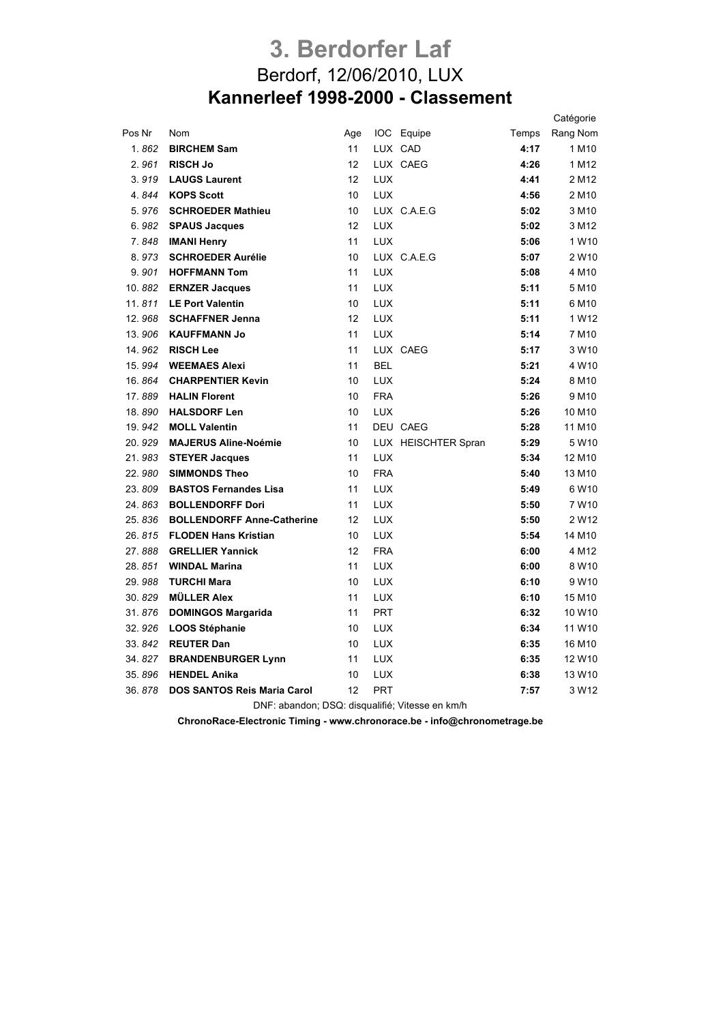## **3. Berdorfer Laf** Berdorf, 12/06/2010, LUX **Kannerleef 1998-2000 - Classement**

|        |                                                 |     |            |                     |       | Catégorie          |
|--------|-------------------------------------------------|-----|------------|---------------------|-------|--------------------|
| Pos Nr | Nom                                             | Age |            | IOC Equipe          | Temps | Rang Nom           |
| 1.862  | <b>BIRCHEM Sam</b>                              | 11  |            | LUX CAD             | 4:17  | 1 M10              |
| 2.961  | <b>RISCH Jo</b>                                 | 12  |            | LUX CAEG            | 4:26  | 1 M12              |
| 3.919  | <b>LAUGS Laurent</b>                            | 12  | <b>LUX</b> |                     | 4:41  | 2 M12              |
| 4.844  | <b>KOPS Scott</b>                               | 10  | <b>LUX</b> |                     | 4:56  | 2 M <sub>10</sub>  |
| 5.976  | <b>SCHROEDER Mathieu</b>                        | 10  |            | LUX C.A.E.G         | 5:02  | 3 M <sub>10</sub>  |
| 6.982  | <b>SPAUS Jacques</b>                            | 12  | <b>LUX</b> |                     | 5:02  | 3 M12              |
| 7.848  | <b>IMANI Henry</b>                              | 11  | <b>LUX</b> |                     | 5:06  | 1 W10              |
| 8.973  | <b>SCHROEDER Aurélie</b>                        | 10  |            | LUX C.A.E.G         | 5:07  | 2 W10              |
| 9.901  | <b>HOFFMANN Tom</b>                             | 11  | <b>LUX</b> |                     | 5:08  | 4 M10              |
| 10.882 | <b>ERNZER Jacques</b>                           | 11  | <b>LUX</b> |                     | 5:11  | 5 M10              |
| 11.811 | <b>LE Port Valentin</b>                         | 10  | <b>LUX</b> |                     | 5:11  | 6 M10              |
| 12.968 | <b>SCHAFFNER Jenna</b>                          | 12  | <b>LUX</b> |                     | 5:11  | 1 W12              |
| 13.906 | <b>KAUFFMANN Jo</b>                             | 11  | LUX        |                     | 5:14  | 7 M10              |
| 14.962 | <b>RISCH Lee</b>                                | 11  |            | LUX CAEG            | 5:17  | 3 W10              |
| 15.994 | <b>WEEMAES Alexi</b>                            | 11  | <b>BEL</b> |                     | 5:21  | 4 W10              |
| 16.864 | <b>CHARPENTIER Kevin</b>                        | 10  | <b>LUX</b> |                     | 5:24  | 8 M <sub>10</sub>  |
| 17.889 | <b>HALIN Florent</b>                            | 10  | <b>FRA</b> |                     | 5:26  | 9 M <sub>10</sub>  |
| 18.890 | <b>HALSDORF Len</b>                             | 10  | <b>LUX</b> |                     | 5:26  | 10 M10             |
| 19.942 | <b>MOLL Valentin</b>                            | 11  |            | DEU CAEG            | 5:28  | 11 M10             |
| 20.929 | <b>MAJERUS Aline-Noémie</b>                     | 10  |            | LUX HEISCHTER Spran | 5:29  | 5 W10              |
| 21.983 | <b>STEYER Jacques</b>                           | 11  | <b>LUX</b> |                     | 5:34  | 12 M10             |
| 22.980 | <b>SIMMONDS Theo</b>                            | 10  | <b>FRA</b> |                     | 5:40  | 13 M10             |
| 23.809 | <b>BASTOS Fernandes Lisa</b>                    | 11  | <b>LUX</b> |                     | 5:49  | 6 W <sub>10</sub>  |
| 24.863 | <b>BOLLENDORFF Dori</b>                         | 11  | <b>LUX</b> |                     | 5:50  | 7 W10              |
| 25.836 | <b>BOLLENDORFF Anne-Catherine</b>               | 12  | <b>LUX</b> |                     | 5:50  | 2 W12              |
| 26.815 | <b>FLODEN Hans Kristian</b>                     | 10  | <b>LUX</b> |                     | 5:54  | 14 M <sub>10</sub> |
| 27.888 | <b>GRELLIER Yannick</b>                         | 12  | <b>FRA</b> |                     | 6:00  | 4 M12              |
| 28.851 | <b>WINDAL Marina</b>                            | 11  | <b>LUX</b> |                     | 6:00  | 8 W <sub>10</sub>  |
| 29.988 | <b>TURCHI Mara</b>                              | 10  | <b>LUX</b> |                     | 6:10  | 9 W10              |
| 30.829 | <b>MÜLLER Alex</b>                              | 11  | <b>LUX</b> |                     | 6:10  | 15 M10             |
| 31.876 | <b>DOMINGOS Margarida</b>                       | 11  | <b>PRT</b> |                     | 6:32  | 10 W <sub>10</sub> |
| 32.926 | <b>LOOS Stéphanie</b>                           | 10  | <b>LUX</b> |                     | 6:34  | 11 W10             |
| 33.842 | <b>REUTER Dan</b>                               | 10  | <b>LUX</b> |                     | 6:35  | 16 M10             |
| 34.827 | <b>BRANDENBURGER Lynn</b>                       | 11  | <b>LUX</b> |                     | 6:35  | 12 W <sub>10</sub> |
| 35.896 | <b>HENDEL Anika</b>                             | 10  | <b>LUX</b> |                     | 6:38  | 13 W10             |
| 36.878 | <b>DOS SANTOS Reis Maria Carol</b>              | 12  | <b>PRT</b> |                     | 7:57  | 3 W12              |
|        | DNF: abandon; DSQ: disqualifié; Vitesse en km/h |     |            |                     |       |                    |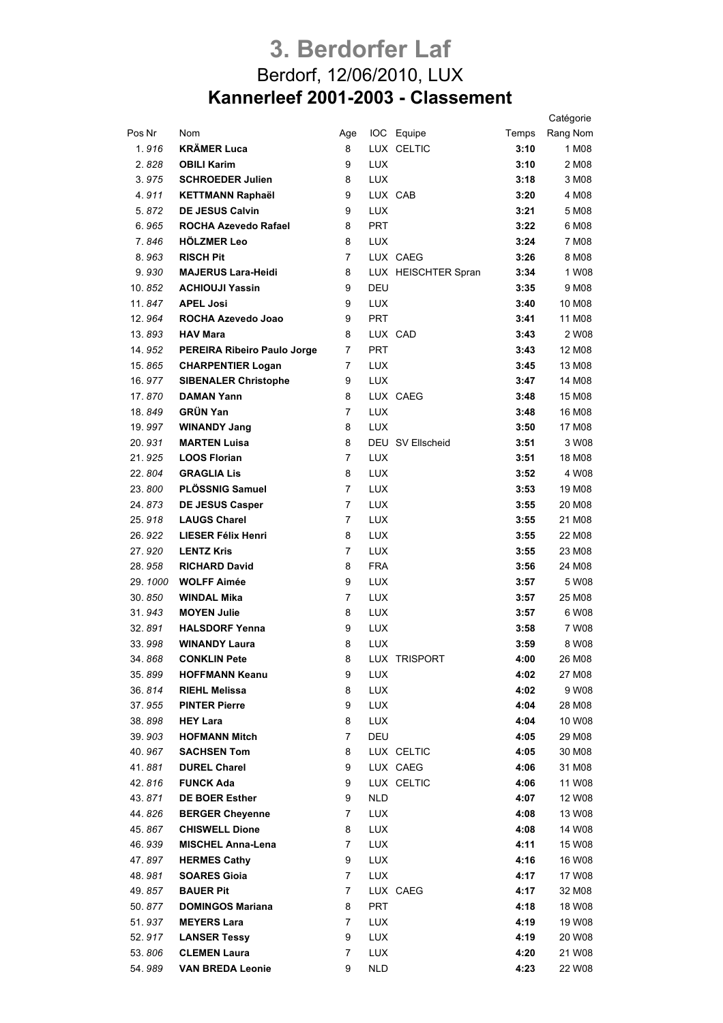## **3. Berdorfer Laf** Berdorf, 12/06/2010, LUX **Kannerleef 2001-2003 - Classement**

|         |                             |     |            |                     |       | Catégorie |
|---------|-----------------------------|-----|------------|---------------------|-------|-----------|
| Pos Nr  | Nom                         | Age |            | IOC Equipe          | Temps | Rang Nom  |
| 1.916   | <b>KRÄMER Luca</b>          | 8   |            | LUX CELTIC          | 3:10  | 1 M08     |
| 2.828   | <b>OBILI Karim</b>          | 9   | <b>LUX</b> |                     | 3:10  | 2 M08     |
| 3.975   | <b>SCHROEDER Julien</b>     | 8   | <b>LUX</b> |                     | 3:18  | 3 M08     |
| 4.911   | <b>KETTMANN Raphaël</b>     | 9   |            | LUX CAB             | 3:20  | 4 M08     |
| 5.872   | <b>DE JESUS Calvin</b>      | 9   | <b>LUX</b> |                     | 3:21  | 5 M08     |
| 6.965   | <b>ROCHA Azevedo Rafael</b> | 8   | <b>PRT</b> |                     | 3:22  | 6 M08     |
| 7.846   | <b>HÖLZMER Leo</b>          | 8   | <b>LUX</b> |                     | 3:24  | 7 M08     |
| 8.963   | <b>RISCH Pit</b>            | 7   |            | LUX CAEG            | 3:26  | 8 M08     |
| 9.930   | <b>MAJERUS Lara-Heidi</b>   | 8   |            | LUX HEISCHTER Spran | 3:34  | 1 W08     |
| 10.852  | <b>ACHIOUJI Yassin</b>      | 9   | DEU        |                     | 3:35  | 9 M08     |
| 11.847  | <b>APEL Josi</b>            | 9   | <b>LUX</b> |                     | 3:40  | 10 M08    |
| 12.964  | ROCHA Azevedo Joao          | 9   | <b>PRT</b> |                     | 3:41  | 11 M08    |
| 13.893  | <b>HAV Mara</b>             | 8   |            | LUX CAD             | 3:43  | 2 W08     |
| 14.952  | PEREIRA Ribeiro Paulo Jorge | 7   | <b>PRT</b> |                     | 3:43  | 12 M08    |
| 15.865  | <b>CHARPENTIER Logan</b>    | 7   | <b>LUX</b> |                     | 3:45  | 13 M08    |
| 16.977  | <b>SIBENALER Christophe</b> | 9   | <b>LUX</b> |                     | 3:47  | 14 M08    |
| 17.870  | <b>DAMAN Yann</b>           | 8   |            | LUX CAEG            | 3:48  | 15 M08    |
| 18.849  | <b>GRÜN Yan</b>             | 7   | <b>LUX</b> |                     | 3:48  | 16 M08    |
| 19.997  | <b>WINANDY Jang</b>         | 8   | <b>LUX</b> |                     | 3:50  | 17 M08    |
| 20.931  | <b>MARTEN Luisa</b>         | 8   |            | DEU SV Ellscheid    | 3:51  | 3 W08     |
| 21.925  | <b>LOOS Florian</b>         | 7   | <b>LUX</b> |                     | 3:51  | 18 M08    |
| 22.804  | <b>GRAGLIA Lis</b>          | 8   | <b>LUX</b> |                     | 3:52  | 4 W08     |
| 23.800  | <b>PLÖSSNIG Samuel</b>      | 7   | <b>LUX</b> |                     | 3:53  | 19 M08    |
| 24.873  | <b>DE JESUS Casper</b>      | 7   | <b>LUX</b> |                     | 3:55  | 20 M08    |
| 25.918  | <b>LAUGS Charel</b>         | 7   | <b>LUX</b> |                     | 3:55  | 21 M08    |
| 26.922  | LIESER Félix Henri          | 8   | <b>LUX</b> |                     | 3:55  | 22 M08    |
| 27.920  | <b>LENTZ Kris</b>           | 7   | <b>LUX</b> |                     | 3:55  | 23 M08    |
| 28.958  | <b>RICHARD David</b>        | 8   | <b>FRA</b> |                     | 3:56  | 24 M08    |
| 29.1000 | <b>WOLFF Aimée</b>          | 9   | <b>LUX</b> |                     | 3:57  | 5 W08     |
| 30.850  | <b>WINDAL Mika</b>          | 7   | <b>LUX</b> |                     | 3:57  | 25 M08    |
| 31.943  | <b>MOYEN Julie</b>          | 8   | <b>LUX</b> |                     | 3:57  | 6 W08     |
| 32.891  | <b>HALSDORF Yenna</b>       | 9   | <b>LUX</b> |                     | 3:58  | 7 W08     |
| 33.998  | <b>WINANDY Laura</b>        | 8   | <b>LUX</b> |                     | 3:59  | 8 W08     |
| 34.868  | <b>CONKLIN Pete</b>         | 8   |            | LUX TRISPORT        | 4:00  | 26 M08    |
| 35.899  | <b>HOFFMANN Keanu</b>       | 9   | <b>LUX</b> |                     | 4:02  | 27 M08    |
| 36.814  | <b>RIEHL Melissa</b>        | 8   | <b>LUX</b> |                     | 4:02  | 9 W08     |
| 37.955  | <b>PINTER Pierre</b>        | 9   | <b>LUX</b> |                     | 4:04  | 28 M08    |
| 38.898  | <b>HEY Lara</b>             | 8   | <b>LUX</b> |                     | 4:04  | 10 W08    |
| 39.903  | <b>HOFMANN Mitch</b>        | 7   | DEU        |                     | 4:05  | 29 M08    |
| 40.967  | <b>SACHSEN Tom</b>          | 8   |            | LUX CELTIC          | 4:05  | 30 M08    |
| 41.881  | <b>DUREL Charel</b>         | 9   |            | LUX CAEG            | 4:06  | 31 M08    |
| 42.816  | <b>FUNCK Ada</b>            | 9   |            | LUX CELTIC          | 4:06  | 11 W08    |
| 43.871  | DE BOER Esther              | 9   | <b>NLD</b> |                     | 4:07  | 12 W08    |
| 44.826  | <b>BERGER Cheyenne</b>      | 7   | <b>LUX</b> |                     | 4:08  | 13 W08    |
| 45.867  | <b>CHISWELL Dione</b>       | 8   | <b>LUX</b> |                     | 4:08  | 14 W08    |
| 46.939  | <b>MISCHEL Anna-Lena</b>    | 7   | <b>LUX</b> |                     | 4:11  | 15 W08    |
| 47.897  | <b>HERMES Cathy</b>         | 9   | <b>LUX</b> |                     | 4:16  | 16 W08    |
| 48.981  | <b>SOARES Gioia</b>         | 7   | <b>LUX</b> |                     | 4:17  | 17 W08    |
| 49.857  | <b>BAUER Pit</b>            | 7   |            | LUX CAEG            | 4:17  | 32 M08    |
| 50.877  | <b>DOMINGOS Mariana</b>     | 8   | <b>PRT</b> |                     | 4:18  | 18 W08    |
| 51.937  | <b>MEYERS Lara</b>          | 7   | <b>LUX</b> |                     | 4:19  | 19 W08    |
| 52.917  | <b>LANSER Tessy</b>         | 9   | <b>LUX</b> |                     | 4:19  | 20 W08    |
| 53.806  | <b>CLEMEN Laura</b>         | 7   | <b>LUX</b> |                     | 4:20  | 21 W08    |
| 54.989  | <b>VAN BREDA Leonie</b>     | 9   | <b>NLD</b> |                     | 4:23  | 22 W08    |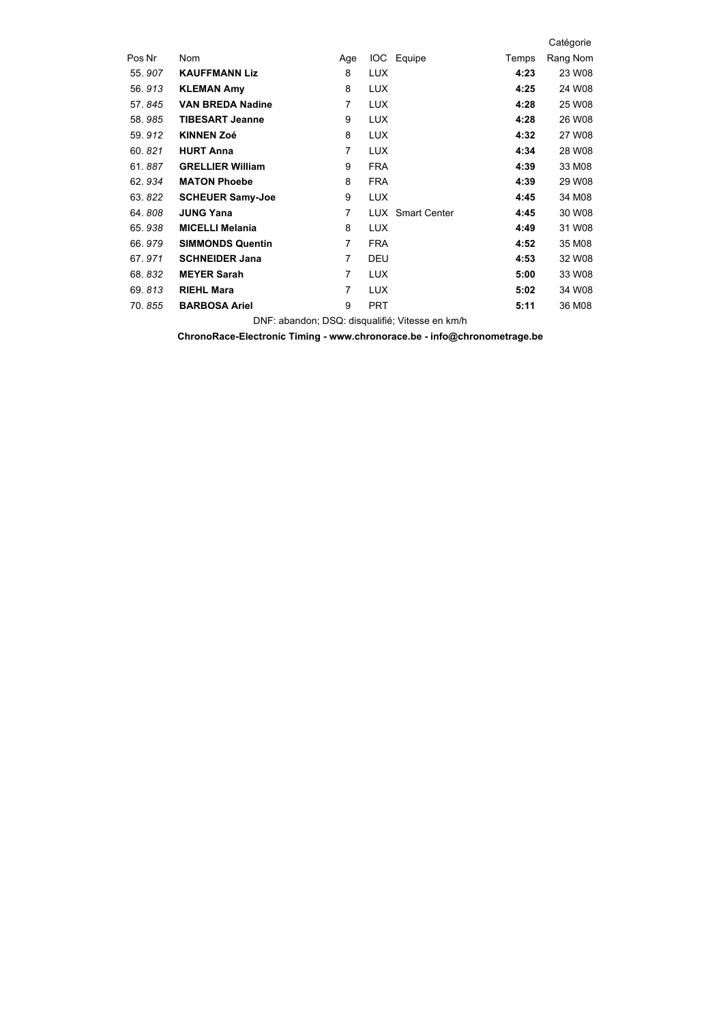|                         |     |            |                     |                   | Catégorie |
|-------------------------|-----|------------|---------------------|-------------------|-----------|
| Nom                     | Age |            |                     | Temps             | Rang Nom  |
| <b>KAUFFMANN Liz</b>    | 8   | <b>LUX</b> |                     | 4:23              | 23 W08    |
| <b>KLEMAN Amy</b>       | 8   | <b>LUX</b> |                     | 4:25              | 24 W08    |
| <b>VAN BREDA Nadine</b> | 7   | <b>LUX</b> |                     | 4:28              | 25 W08    |
| <b>TIBESART Jeanne</b>  | 9   | <b>LUX</b> |                     | 4:28              | 26 W08    |
| <b>KINNEN Zoé</b>       | 8   | <b>LUX</b> |                     | 4:32              | 27 W08    |
| <b>HURT Anna</b>        | 7   | <b>LUX</b> |                     | 4:34              | 28 W08    |
| <b>GRELLIER William</b> | 9   | <b>FRA</b> |                     | 4:39              | 33 M08    |
| <b>MATON Phoebe</b>     | 8   | <b>FRA</b> |                     | 4:39              | 29 W08    |
| <b>SCHEUER Samy-Joe</b> | 9   | <b>LUX</b> |                     | 4:45              | 34 M08    |
| <b>JUNG Yana</b>        | 7   |            | <b>Smart Center</b> | 4:45              | 30 W08    |
| <b>MICELLI Melania</b>  | 8   | <b>LUX</b> |                     | 4:49              | 31 W08    |
| <b>SIMMONDS Quentin</b> | 7   | <b>FRA</b> |                     | 4:52              | 35 M08    |
| <b>SCHNEIDER Jana</b>   | 7   | DEU        |                     | 4:53              | 32 W08    |
| <b>MEYER Sarah</b>      | 7   | <b>LUX</b> |                     | 5:00              | 33 W08    |
| <b>RIEHL Mara</b>       | 7   | <b>LUX</b> |                     | 5:02              | 34 W08    |
| <b>BARBOSA Ariel</b>    | 9   | <b>PRT</b> |                     | 5:11              | 36 M08    |
|                         |     |            |                     | IOC Equipe<br>LUX |           |

DNF: abandon; DSQ: disqualifié; Vitesse en km/h